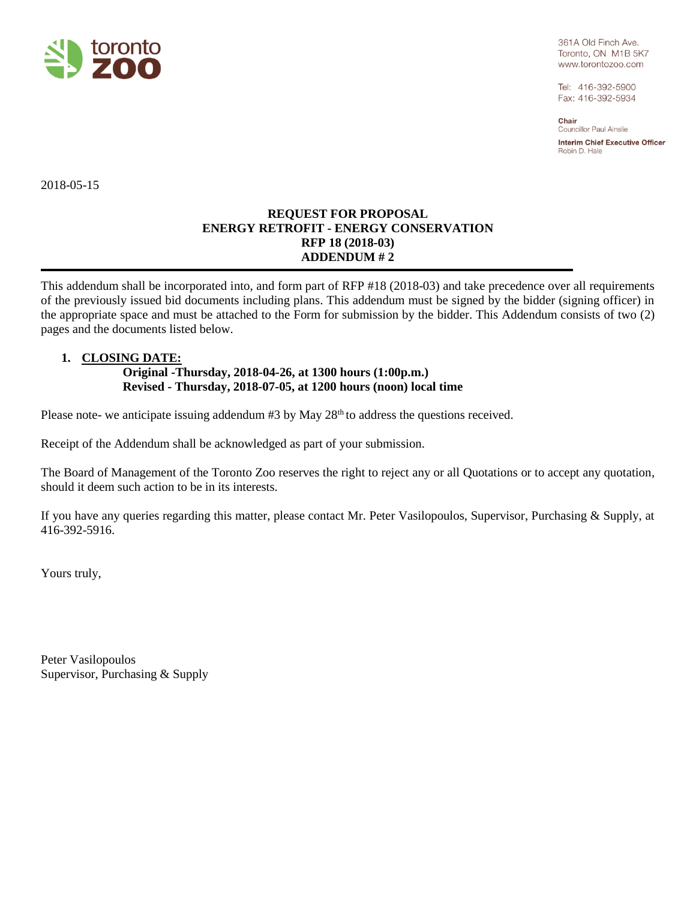

361A Old Finch Ave. Toronto, ON M1B 5K7 www.torontozoo.com

Tel: 416-392-5900 Fax: 416-392-5934

Chair **Councillor Paul Ainslie** Interim Chief Executive Officer

Robin D. Hale

2018-05-15

## **REQUEST FOR PROPOSAL ENERGY RETROFIT - ENERGY CONSERVATION RFP 18 (2018-03) ADDENDUM # 2**

This addendum shall be incorporated into, and form part of RFP #18 (2018-03) and take precedence over all requirements of the previously issued bid documents including plans. This addendum must be signed by the bidder (signing officer) in the appropriate space and must be attached to the Form for submission by the bidder. This Addendum consists of two (2) pages and the documents listed below.

## **1. CLOSING DATE:**

## **Original -Thursday, 2018-04-26, at 1300 hours (1:00p.m.) Revised - Thursday, 2018-07-05, at 1200 hours (noon) local time**

Please note- we anticipate issuing addendum #3 by May 28<sup>th</sup> to address the questions received.

Receipt of the Addendum shall be acknowledged as part of your submission.

The Board of Management of the Toronto Zoo reserves the right to reject any or all Quotations or to accept any quotation, should it deem such action to be in its interests.

If you have any queries regarding this matter, please contact Mr. Peter Vasilopoulos, Supervisor, Purchasing & Supply, at 416-392-5916.

Yours truly,

Peter Vasilopoulos Supervisor, Purchasing & Supply